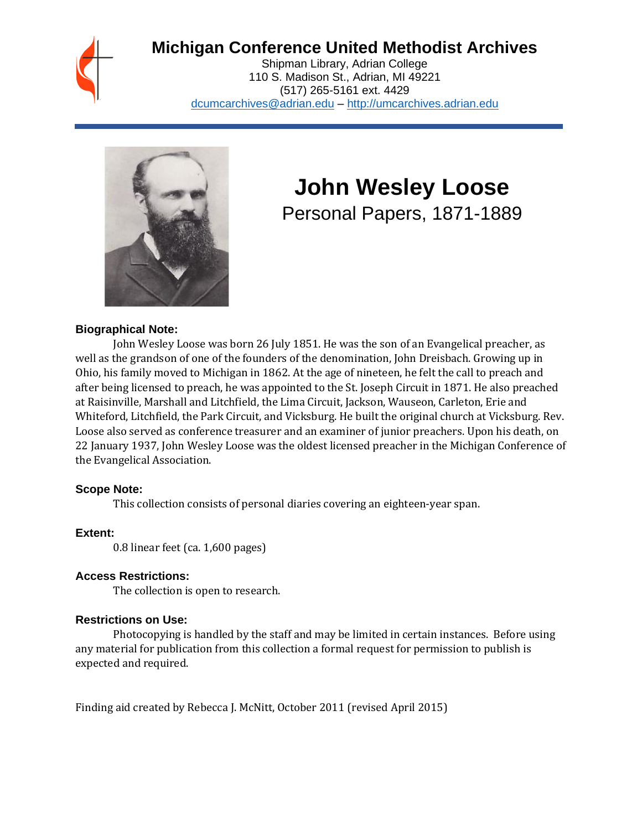

# **Michigan Conference United Methodist Archives**

Shipman Library, Adrian College 110 S. Madison St., Adrian, MI 49221 (517) 265-5161 ext. 4429 [dcumcarchives@adrian.edu](mailto:dcumcarchives@adrian.edu) – [http://umcarchives.adrian.edu](http://umcarchives.adrian.edu/)



# **John Wesley Loose**

Personal Papers, 1871-1889

#### **Biographical Note:**

John Wesley Loose was born 26 July 1851. He was the son of an Evangelical preacher, as well as the grandson of one of the founders of the denomination, John Dreisbach. Growing up in Ohio, his family moved to Michigan in 1862. At the age of nineteen, he felt the call to preach and after being licensed to preach, he was appointed to the St. Joseph Circuit in 1871. He also preached at Raisinville, Marshall and Litchfield, the Lima Circuit, Jackson, Wauseon, Carleton, Erie and Whiteford, Litchfield, the Park Circuit, and Vicksburg. He built the original church at Vicksburg. Rev. Loose also served as conference treasurer and an examiner of junior preachers. Upon his death, on 22 January 1937, John Wesley Loose was the oldest licensed preacher in the Michigan Conference of the Evangelical Association.

#### **Scope Note:**

This collection consists of personal diaries covering an eighteen-year span.

# **Extent:**

0.8 linear feet (ca. 1,600 pages)

# **Access Restrictions:**

The collection is open to research.

#### **Restrictions on Use:**

Photocopying is handled by the staff and may be limited in certain instances. Before using any material for publication from this collection a formal request for permission to publish is expected and required.

Finding aid created by Rebecca J. McNitt, October 2011 (revised April 2015)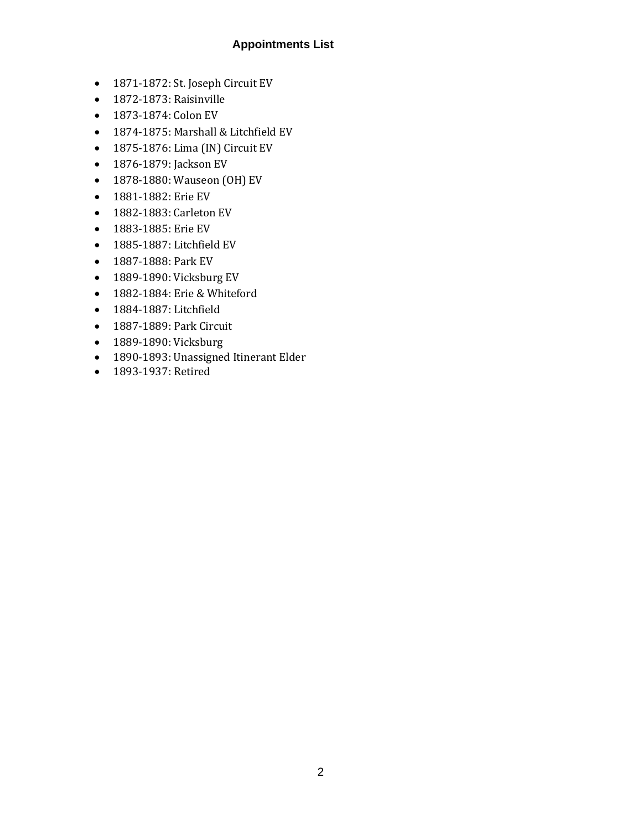# **Appointments List**

- 1871-1872: St. Joseph Circuit EV
- 1872-1873: Raisinville
- 1873-1874: Colon EV
- 1874-1875: Marshall & Litchfield EV
- 1875-1876: Lima (IN) Circuit EV
- 1876-1879: Jackson EV
- 1878-1880: Wauseon (OH) EV
- 1881-1882: Erie EV
- 1882-1883: Carleton EV
- 1883-1885: Erie EV
- 1885-1887: Litchfield EV
- 1887-1888: Park EV
- 1889-1890: Vicksburg EV
- 1882-1884: Erie & Whiteford
- 1884-1887: Litchfield
- 1887-1889: Park Circuit
- 1889-1890: Vicksburg
- 1890-1893: Unassigned Itinerant Elder
- 1893-1937: Retired